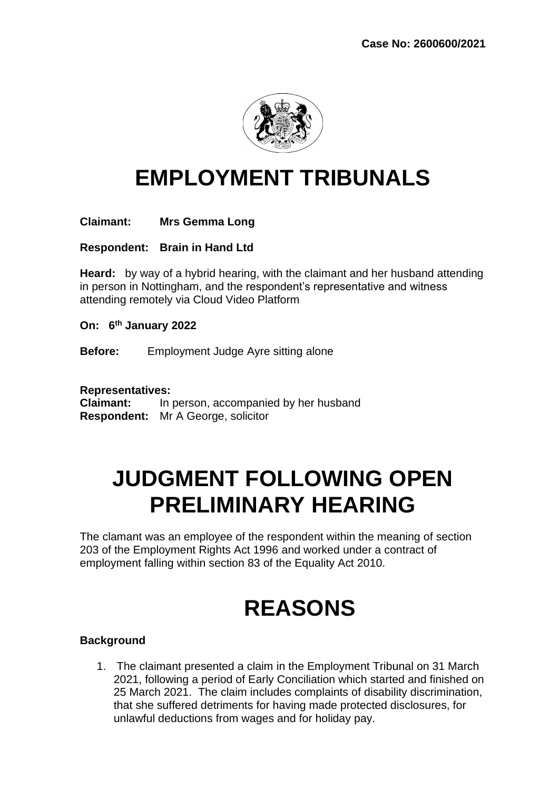

# **EMPLOYMENT TRIBUNALS**

# **Claimant: Mrs Gemma Long**

**Respondent: Brain in Hand Ltd** 

**Heard:** by way of a hybrid hearing, with the claimant and her husband attending in person in Nottingham, and the respondent's representative and witness attending remotely via Cloud Video Platform

**On: 6 th January 2022** 

**Before:** Employment Judge Ayre sitting alone

**Representatives:** 

**Claimant:** In person, accompanied by her husband **Respondent:** Mr A George, solicitor

# **JUDGMENT FOLLOWING OPEN PRELIMINARY HEARING**

The clamant was an employee of the respondent within the meaning of section 203 of the Employment Rights Act 1996 and worked under a contract of employment falling within section 83 of the Equality Act 2010.

# **REASONS**

### **Background**

1. The claimant presented a claim in the Employment Tribunal on 31 March 2021, following a period of Early Conciliation which started and finished on 25 March 2021. The claim includes complaints of disability discrimination, that she suffered detriments for having made protected disclosures, for unlawful deductions from wages and for holiday pay.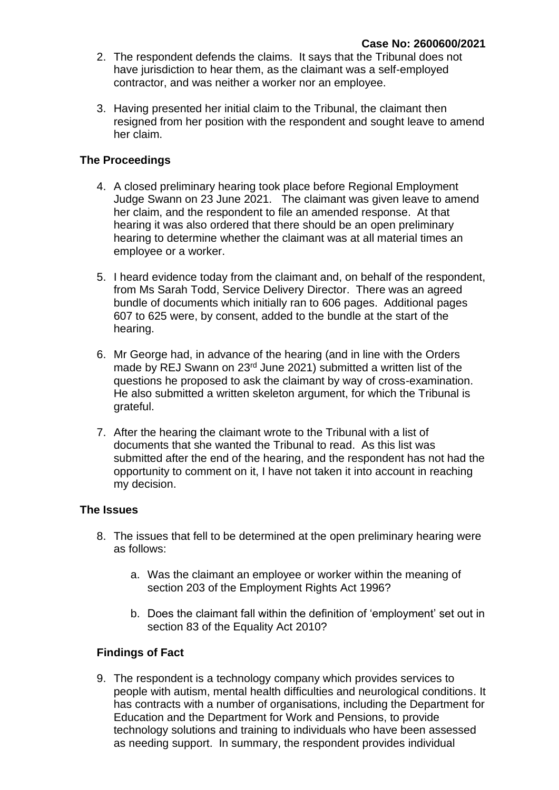- 2. The respondent defends the claims. It says that the Tribunal does not have jurisdiction to hear them, as the claimant was a self-employed contractor, and was neither a worker nor an employee.
- 3. Having presented her initial claim to the Tribunal, the claimant then resigned from her position with the respondent and sought leave to amend her claim.

# **The Proceedings**

- 4. A closed preliminary hearing took place before Regional Employment Judge Swann on 23 June 2021. The claimant was given leave to amend her claim, and the respondent to file an amended response. At that hearing it was also ordered that there should be an open preliminary hearing to determine whether the claimant was at all material times an employee or a worker.
- 5. I heard evidence today from the claimant and, on behalf of the respondent, from Ms Sarah Todd, Service Delivery Director. There was an agreed bundle of documents which initially ran to 606 pages. Additional pages 607 to 625 were, by consent, added to the bundle at the start of the hearing.
- 6. Mr George had, in advance of the hearing (and in line with the Orders made by REJ Swann on 23<sup>rd</sup> June 2021) submitted a written list of the questions he proposed to ask the claimant by way of cross-examination. He also submitted a written skeleton argument, for which the Tribunal is grateful.
- 7. After the hearing the claimant wrote to the Tribunal with a list of documents that she wanted the Tribunal to read. As this list was submitted after the end of the hearing, and the respondent has not had the opportunity to comment on it, I have not taken it into account in reaching my decision.

### **The Issues**

- 8. The issues that fell to be determined at the open preliminary hearing were as follows:
	- a. Was the claimant an employee or worker within the meaning of section 203 of the Employment Rights Act 1996?
	- b. Does the claimant fall within the definition of 'employment' set out in section 83 of the Equality Act 2010?

### **Findings of Fact**

9. The respondent is a technology company which provides services to people with autism, mental health difficulties and neurological conditions. It has contracts with a number of organisations, including the Department for Education and the Department for Work and Pensions, to provide technology solutions and training to individuals who have been assessed as needing support. In summary, the respondent provides individual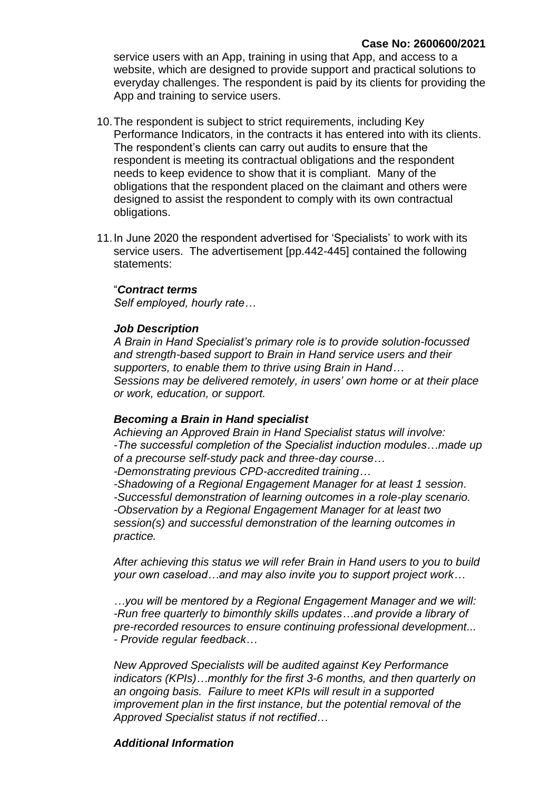service users with an App, training in using that App, and access to a website, which are designed to provide support and practical solutions to everyday challenges. The respondent is paid by its clients for providing the App and training to service users.

- 10.The respondent is subject to strict requirements, including Key Performance Indicators, in the contracts it has entered into with its clients. The respondent's clients can carry out audits to ensure that the respondent is meeting its contractual obligations and the respondent needs to keep evidence to show that it is compliant. Many of the obligations that the respondent placed on the claimant and others were designed to assist the respondent to comply with its own contractual obligations.
- 11.In June 2020 the respondent advertised for 'Specialists' to work with its service users. The advertisement [pp.442-445] contained the following statements:

#### "*Contract terms*

*Self employed, hourly rate…*

#### *Job Description*

*A Brain in Hand Specialist's primary role is to provide solution-focussed and strength-based support to Brain in Hand service users and their supporters, to enable them to thrive using Brain in Hand… Sessions may be delivered remotely, in users' own home or at their place or work, education, or support.*

#### *Becoming a Brain in Hand specialist*

*Achieving an Approved Brain in Hand Specialist status will involve: -The successful completion of the Specialist induction modules…made up of a precourse self-study pack and three-day course… -Demonstrating previous CPD-accredited training…*

*-Shadowing of a Regional Engagement Manager for at least 1 session. -Successful demonstration of learning outcomes in a role-play scenario. -Observation by a Regional Engagement Manager for at least two session(s) and successful demonstration of the learning outcomes in practice.*

*After achieving this status we will refer Brain in Hand users to you to build your own caseload…and may also invite you to support project work…*

*…you will be mentored by a Regional Engagement Manager and we will: -Run free quarterly to bimonthly skills updates…and provide a library of pre-recorded resources to ensure continuing professional development... - Provide regular feedback…*

*New Approved Specialists will be audited against Key Performance indicators (KPIs)…monthly for the first 3-6 months, and then quarterly on an ongoing basis. Failure to meet KPIs will result in a supported improvement plan in the first instance, but the potential removal of the Approved Specialist status if not rectified…*

### *Additional Information*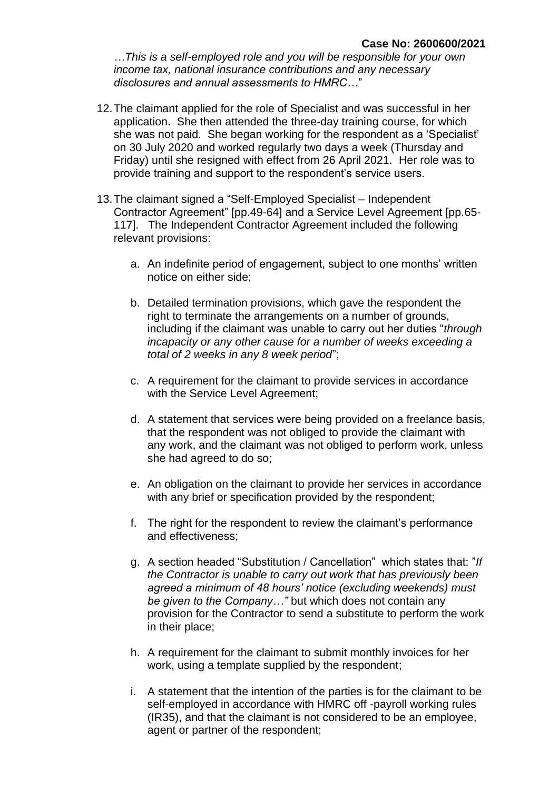*…This is a self-employed role and you will be responsible for your own income tax, national insurance contributions and any necessary disclosures and annual assessments to HMRC…*"

- 12.The claimant applied for the role of Specialist and was successful in her application. She then attended the three-day training course, for which she was not paid. She began working for the respondent as a 'Specialist' on 30 July 2020 and worked regularly two days a week (Thursday and Friday) until she resigned with effect from 26 April 2021. Her role was to provide training and support to the respondent's service users.
- 13.The claimant signed a "Self-Employed Specialist Independent Contractor Agreement" [pp.49-64] and a Service Level Agreement [pp.65- 117]. The Independent Contractor Agreement included the following relevant provisions:
	- a. An indefinite period of engagement, subject to one months' written notice on either side;
	- b. Detailed termination provisions, which gave the respondent the right to terminate the arrangements on a number of grounds, including if the claimant was unable to carry out her duties "*through incapacity or any other cause for a number of weeks exceeding a total of 2 weeks in any 8 week period*";
	- c. A requirement for the claimant to provide services in accordance with the Service Level Agreement;
	- d. A statement that services were being provided on a freelance basis, that the respondent was not obliged to provide the claimant with any work, and the claimant was not obliged to perform work, unless she had agreed to do so;
	- e. An obligation on the claimant to provide her services in accordance with any brief or specification provided by the respondent;
	- f. The right for the respondent to review the claimant's performance and effectiveness;
	- g. A section headed "Substitution / Cancellation" which states that: "*If the Contractor is unable to carry out work that has previously been agreed a minimum of 48 hours' notice (excluding weekends) must be given to the Company…"* but which does not contain any provision for the Contractor to send a substitute to perform the work in their place;
	- h. A requirement for the claimant to submit monthly invoices for her work, using a template supplied by the respondent;
	- i. A statement that the intention of the parties is for the claimant to be self-employed in accordance with HMRC off -payroll working rules (IR35), and that the claimant is not considered to be an employee, agent or partner of the respondent;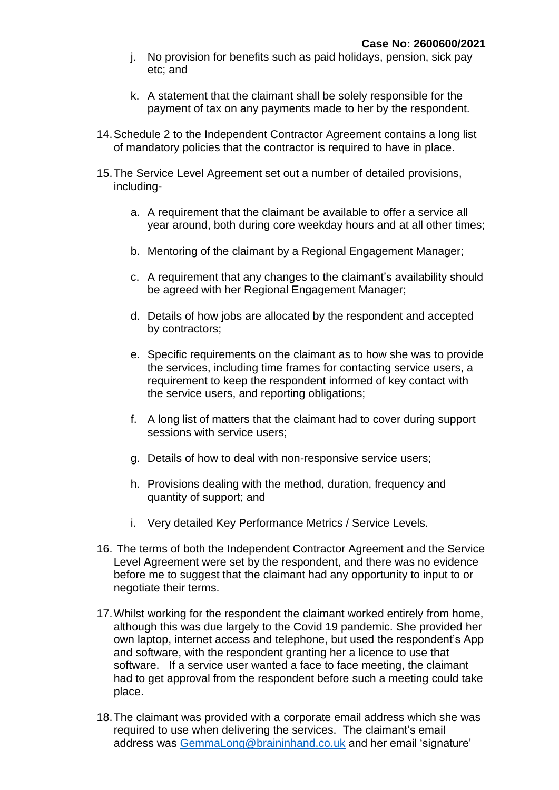- j. No provision for benefits such as paid holidays, pension, sick pay etc; and
- k. A statement that the claimant shall be solely responsible for the payment of tax on any payments made to her by the respondent.
- 14.Schedule 2 to the Independent Contractor Agreement contains a long list of mandatory policies that the contractor is required to have in place.
- 15.The Service Level Agreement set out a number of detailed provisions, including
	- a. A requirement that the claimant be available to offer a service all year around, both during core weekday hours and at all other times;
	- b. Mentoring of the claimant by a Regional Engagement Manager;
	- c. A requirement that any changes to the claimant's availability should be agreed with her Regional Engagement Manager;
	- d. Details of how jobs are allocated by the respondent and accepted by contractors;
	- e. Specific requirements on the claimant as to how she was to provide the services, including time frames for contacting service users, a requirement to keep the respondent informed of key contact with the service users, and reporting obligations;
	- f. A long list of matters that the claimant had to cover during support sessions with service users;
	- g. Details of how to deal with non-responsive service users;
	- h. Provisions dealing with the method, duration, frequency and quantity of support; and
	- i. Very detailed Key Performance Metrics / Service Levels.
- 16. The terms of both the Independent Contractor Agreement and the Service Level Agreement were set by the respondent, and there was no evidence before me to suggest that the claimant had any opportunity to input to or negotiate their terms.
- 17.Whilst working for the respondent the claimant worked entirely from home, although this was due largely to the Covid 19 pandemic. She provided her own laptop, internet access and telephone, but used the respondent's App and software, with the respondent granting her a licence to use that software. If a service user wanted a face to face meeting, the claimant had to get approval from the respondent before such a meeting could take place.
- 18.The claimant was provided with a corporate email address which she was required to use when delivering the services. The claimant's email address was [GemmaLong@braininhand.co.uk](mailto:GemmaLong@braininhand.co.uk) and her email 'signature'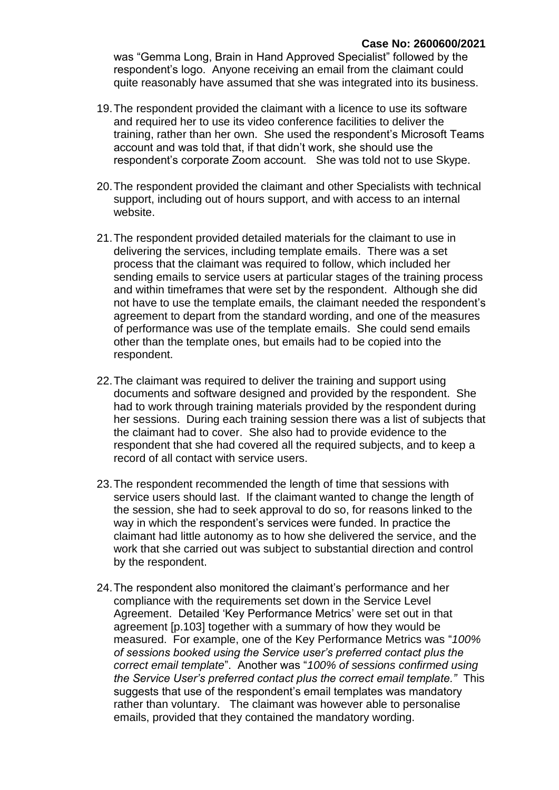was "Gemma Long, Brain in Hand Approved Specialist" followed by the respondent's logo. Anyone receiving an email from the claimant could quite reasonably have assumed that she was integrated into its business.

- 19.The respondent provided the claimant with a licence to use its software and required her to use its video conference facilities to deliver the training, rather than her own. She used the respondent's Microsoft Teams account and was told that, if that didn't work, she should use the respondent's corporate Zoom account. She was told not to use Skype.
- 20.The respondent provided the claimant and other Specialists with technical support, including out of hours support, and with access to an internal website.
- 21.The respondent provided detailed materials for the claimant to use in delivering the services, including template emails. There was a set process that the claimant was required to follow, which included her sending emails to service users at particular stages of the training process and within timeframes that were set by the respondent. Although she did not have to use the template emails, the claimant needed the respondent's agreement to depart from the standard wording, and one of the measures of performance was use of the template emails. She could send emails other than the template ones, but emails had to be copied into the respondent.
- 22.The claimant was required to deliver the training and support using documents and software designed and provided by the respondent. She had to work through training materials provided by the respondent during her sessions. During each training session there was a list of subjects that the claimant had to cover. She also had to provide evidence to the respondent that she had covered all the required subjects, and to keep a record of all contact with service users.
- 23.The respondent recommended the length of time that sessions with service users should last. If the claimant wanted to change the length of the session, she had to seek approval to do so, for reasons linked to the way in which the respondent's services were funded. In practice the claimant had little autonomy as to how she delivered the service, and the work that she carried out was subject to substantial direction and control by the respondent.
- 24.The respondent also monitored the claimant's performance and her compliance with the requirements set down in the Service Level Agreement. Detailed 'Key Performance Metrics' were set out in that agreement [p.103] together with a summary of how they would be measured. For example, one of the Key Performance Metrics was "*100% of sessions booked using the Service user's preferred contact plus the correct email template*". Another was "*100% of sessions confirmed using the Service User's preferred contact plus the correct email template."* This suggests that use of the respondent's email templates was mandatory rather than voluntary. The claimant was however able to personalise emails, provided that they contained the mandatory wording.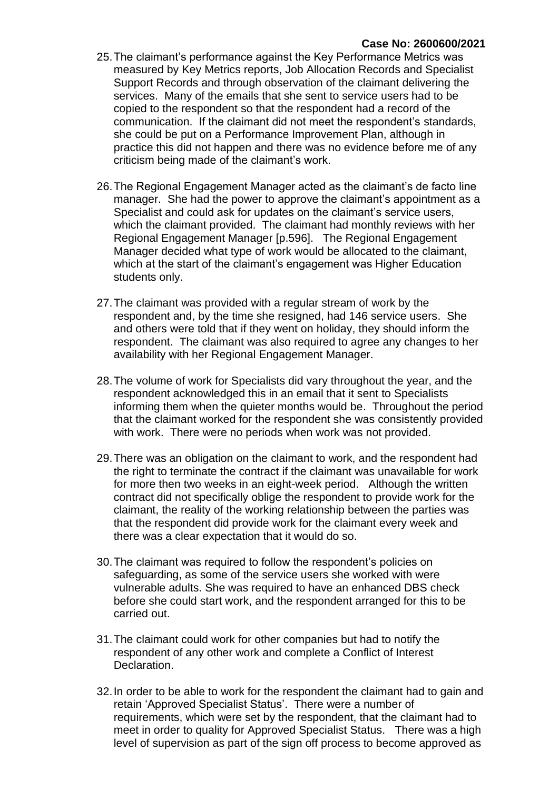- 25.The claimant's performance against the Key Performance Metrics was measured by Key Metrics reports, Job Allocation Records and Specialist Support Records and through observation of the claimant delivering the services. Many of the emails that she sent to service users had to be copied to the respondent so that the respondent had a record of the communication. If the claimant did not meet the respondent's standards, she could be put on a Performance Improvement Plan, although in practice this did not happen and there was no evidence before me of any criticism being made of the claimant's work.
- 26.The Regional Engagement Manager acted as the claimant's de facto line manager. She had the power to approve the claimant's appointment as a Specialist and could ask for updates on the claimant's service users, which the claimant provided. The claimant had monthly reviews with her Regional Engagement Manager [p.596]. The Regional Engagement Manager decided what type of work would be allocated to the claimant, which at the start of the claimant's engagement was Higher Education students only.
- 27.The claimant was provided with a regular stream of work by the respondent and, by the time she resigned, had 146 service users. She and others were told that if they went on holiday, they should inform the respondent. The claimant was also required to agree any changes to her availability with her Regional Engagement Manager.
- 28.The volume of work for Specialists did vary throughout the year, and the respondent acknowledged this in an email that it sent to Specialists informing them when the quieter months would be. Throughout the period that the claimant worked for the respondent she was consistently provided with work. There were no periods when work was not provided.
- 29.There was an obligation on the claimant to work, and the respondent had the right to terminate the contract if the claimant was unavailable for work for more then two weeks in an eight-week period. Although the written contract did not specifically oblige the respondent to provide work for the claimant, the reality of the working relationship between the parties was that the respondent did provide work for the claimant every week and there was a clear expectation that it would do so.
- 30.The claimant was required to follow the respondent's policies on safeguarding, as some of the service users she worked with were vulnerable adults. She was required to have an enhanced DBS check before she could start work, and the respondent arranged for this to be carried out.
- 31.The claimant could work for other companies but had to notify the respondent of any other work and complete a Conflict of Interest Declaration.
- 32.In order to be able to work for the respondent the claimant had to gain and retain 'Approved Specialist Status'. There were a number of requirements, which were set by the respondent, that the claimant had to meet in order to quality for Approved Specialist Status. There was a high level of supervision as part of the sign off process to become approved as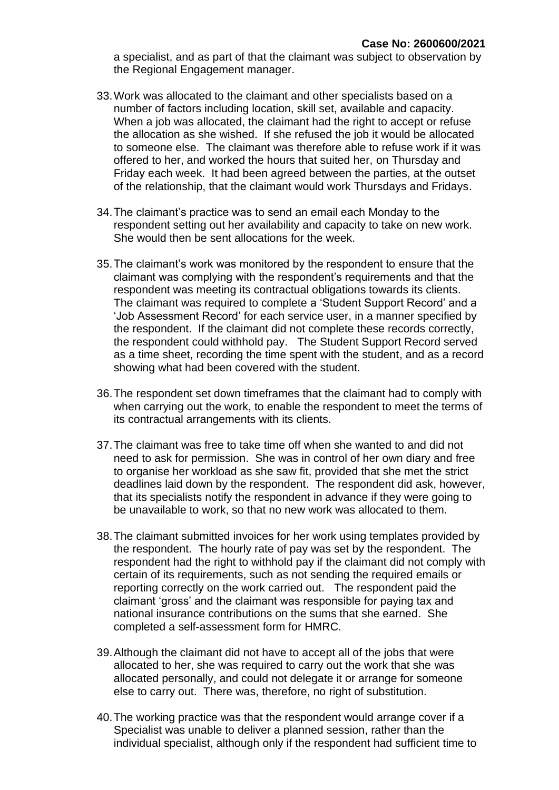a specialist, and as part of that the claimant was subject to observation by the Regional Engagement manager.

- 33.Work was allocated to the claimant and other specialists based on a number of factors including location, skill set, available and capacity. When a job was allocated, the claimant had the right to accept or refuse the allocation as she wished. If she refused the job it would be allocated to someone else. The claimant was therefore able to refuse work if it was offered to her, and worked the hours that suited her, on Thursday and Friday each week. It had been agreed between the parties, at the outset of the relationship, that the claimant would work Thursdays and Fridays.
- 34.The claimant's practice was to send an email each Monday to the respondent setting out her availability and capacity to take on new work. She would then be sent allocations for the week.
- 35.The claimant's work was monitored by the respondent to ensure that the claimant was complying with the respondent's requirements and that the respondent was meeting its contractual obligations towards its clients. The claimant was required to complete a 'Student Support Record' and a 'Job Assessment Record' for each service user, in a manner specified by the respondent. If the claimant did not complete these records correctly, the respondent could withhold pay. The Student Support Record served as a time sheet, recording the time spent with the student, and as a record showing what had been covered with the student.
- 36.The respondent set down timeframes that the claimant had to comply with when carrying out the work, to enable the respondent to meet the terms of its contractual arrangements with its clients.
- 37.The claimant was free to take time off when she wanted to and did not need to ask for permission. She was in control of her own diary and free to organise her workload as she saw fit, provided that she met the strict deadlines laid down by the respondent. The respondent did ask, however, that its specialists notify the respondent in advance if they were going to be unavailable to work, so that no new work was allocated to them.
- 38.The claimant submitted invoices for her work using templates provided by the respondent. The hourly rate of pay was set by the respondent. The respondent had the right to withhold pay if the claimant did not comply with certain of its requirements, such as not sending the required emails or reporting correctly on the work carried out. The respondent paid the claimant 'gross' and the claimant was responsible for paying tax and national insurance contributions on the sums that she earned. She completed a self-assessment form for HMRC.
- 39.Although the claimant did not have to accept all of the jobs that were allocated to her, she was required to carry out the work that she was allocated personally, and could not delegate it or arrange for someone else to carry out. There was, therefore, no right of substitution.
- 40.The working practice was that the respondent would arrange cover if a Specialist was unable to deliver a planned session, rather than the individual specialist, although only if the respondent had sufficient time to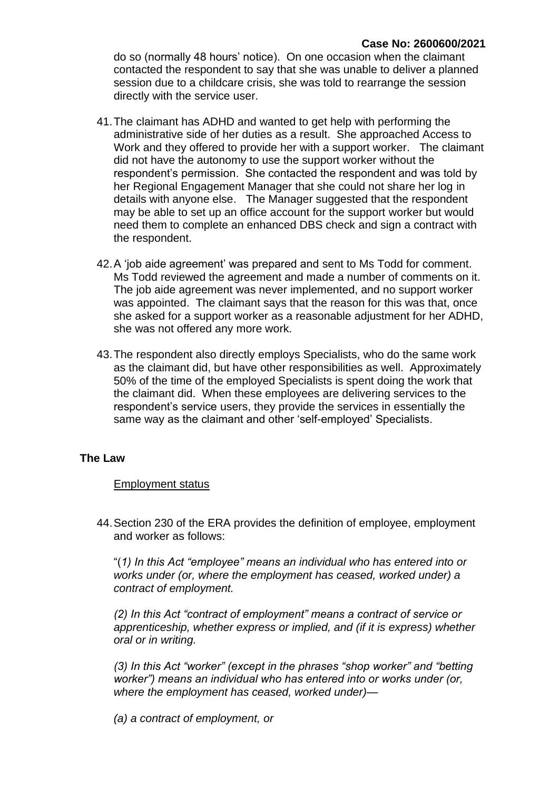do so (normally 48 hours' notice). On one occasion when the claimant contacted the respondent to say that she was unable to deliver a planned session due to a childcare crisis, she was told to rearrange the session directly with the service user.

- 41.The claimant has ADHD and wanted to get help with performing the administrative side of her duties as a result. She approached Access to Work and they offered to provide her with a support worker. The claimant did not have the autonomy to use the support worker without the respondent's permission. She contacted the respondent and was told by her Regional Engagement Manager that she could not share her log in details with anyone else. The Manager suggested that the respondent may be able to set up an office account for the support worker but would need them to complete an enhanced DBS check and sign a contract with the respondent.
- 42.A 'job aide agreement' was prepared and sent to Ms Todd for comment. Ms Todd reviewed the agreement and made a number of comments on it. The job aide agreement was never implemented, and no support worker was appointed. The claimant says that the reason for this was that, once she asked for a support worker as a reasonable adjustment for her ADHD, she was not offered any more work.
- 43.The respondent also directly employs Specialists, who do the same work as the claimant did, but have other responsibilities as well. Approximately 50% of the time of the employed Specialists is spent doing the work that the claimant did. When these employees are delivering services to the respondent's service users, they provide the services in essentially the same way as the claimant and other 'self-employed' Specialists.

### **The Law**

### Employment status

44.Section 230 of the ERA provides the definition of employee, employment and worker as follows:

"(*1) In this Act "employee" means an individual who has entered into or works under (or, where the employment has ceased, worked under) a contract of employment.*

*(2) In this Act "contract of employment" means a contract of service or apprenticeship, whether express or implied, and (if it is express) whether oral or in writing.*

*(3) In this Act "worker" (except in the phrases "shop worker" and "betting worker") means an individual who has entered into or works under (or, where the employment has ceased, worked under)—*

*(a) a contract of employment, or*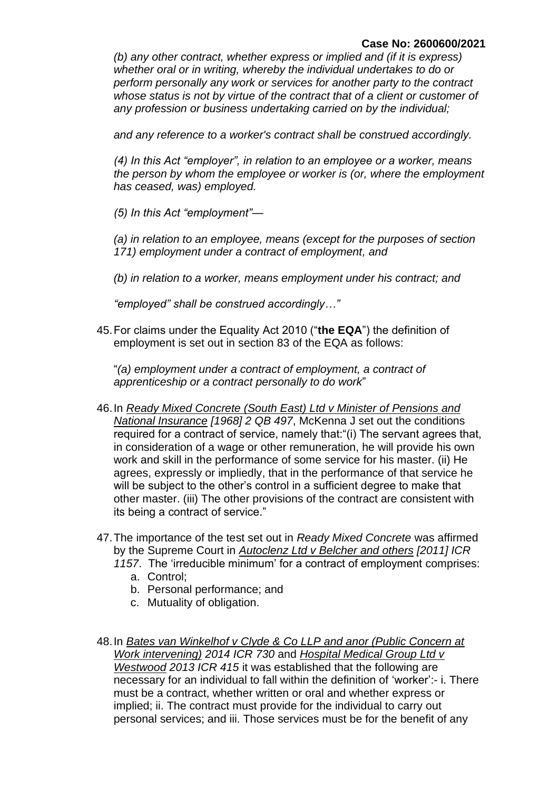### **Case No: 2600600/2021**

*(b) any other contract, whether express or implied and (if it is express) whether oral or in writing, whereby the individual undertakes to do or perform personally any work or services for another party to the contract whose status is not by virtue of the contract that of a client or customer of any profession or business undertaking carried on by the individual;*

*and any reference to a worker's contract shall be construed accordingly.*

*(4) In this Act "employer", in relation to an employee or a worker, means the person by whom the employee or worker is (or, where the employment has ceased, was) employed.*

*(5) In this Act "employment"—*

*(a) in relation to an employee, means (except for the purposes of section 171) employment under a contract of employment, and*

*(b) in relation to a worker, means employment under his contract; and*

*"employed" shall be construed accordingly…"*

45.For claims under the Equality Act 2010 ("**the EQA**") the definition of employment is set out in section 83 of the EQA as follows:

"*(a) employment under a contract of employment, a contract of apprenticeship or a contract personally to do work*"

- 46.In *Ready Mixed Concrete (South East) Ltd v Minister of Pensions and National Insurance [1968] 2 QB 497*, McKenna J set out the conditions required for a contract of service, namely that:"(i) The servant agrees that, in consideration of a wage or other remuneration, he will provide his own work and skill in the performance of some service for his master. (ii) He agrees, expressly or impliedly, that in the performance of that service he will be subject to the other's control in a sufficient degree to make that other master. (iii) The other provisions of the contract are consistent with its being a contract of service."
- 47.The importance of the test set out in *Ready Mixed Concrete* was affirmed by the Supreme Court in *Autoclenz Ltd v Belcher and others [2011] ICR* 
	- *1157*. The 'irreducible minimum' for a contract of employment comprises:
		- a. Control;
		- b. Personal performance; and
		- c. Mutuality of obligation.
- 48.In *Bates van Winkelhof v Clyde & Co LLP and anor (Public Concern at Work intervening) 2014 ICR 730* and *Hospital Medical Group Ltd v Westwood 2013 ICR 415* it was established that the following are necessary for an individual to fall within the definition of 'worker':- i. There must be a contract, whether written or oral and whether express or implied; ii. The contract must provide for the individual to carry out personal services; and iii. Those services must be for the benefit of any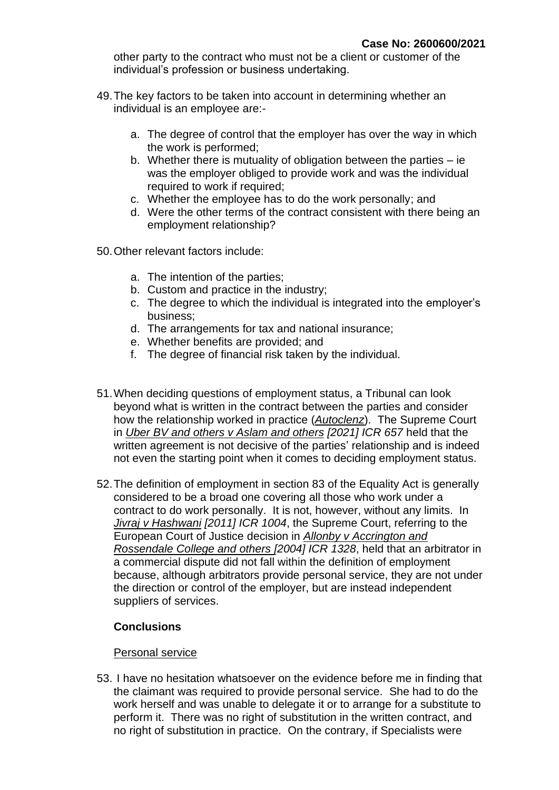other party to the contract who must not be a client or customer of the individual's profession or business undertaking.

- 49.The key factors to be taken into account in determining whether an individual is an employee are:
	- a. The degree of control that the employer has over the way in which the work is performed;
	- b. Whether there is mutuality of obligation between the parties ie was the employer obliged to provide work and was the individual required to work if required:
	- c. Whether the employee has to do the work personally; and
	- d. Were the other terms of the contract consistent with there being an employment relationship?
- 50.Other relevant factors include:
	- a. The intention of the parties;
	- b. Custom and practice in the industry;
	- c. The degree to which the individual is integrated into the employer's business;
	- d. The arrangements for tax and national insurance;
	- e. Whether benefits are provided; and
	- f. The degree of financial risk taken by the individual.
- 51.When deciding questions of employment status, a Tribunal can look beyond what is written in the contract between the parties and consider how the relationship worked in practice (*Autoclenz*). The Supreme Court in *Uber BV and others v Aslam and others [2021] ICR 657* held that the written agreement is not decisive of the parties' relationship and is indeed not even the starting point when it comes to deciding employment status.
- 52.The definition of employment in section 83 of the Equality Act is generally considered to be a broad one covering all those who work under a contract to do work personally. It is not, however, without any limits. In *Jivraj v Hashwani [2011] ICR 1004*, the Supreme Court, referring to the European Court of Justice decision in *Allonby v Accrington and Rossendale College and others [2004] ICR 1328*, held that an arbitrator in a commercial dispute did not fall within the definition of employment because, although arbitrators provide personal service, they are not under the direction or control of the employer, but are instead independent suppliers of services.

# **Conclusions**

### Personal service

53. I have no hesitation whatsoever on the evidence before me in finding that the claimant was required to provide personal service. She had to do the work herself and was unable to delegate it or to arrange for a substitute to perform it. There was no right of substitution in the written contract, and no right of substitution in practice. On the contrary, if Specialists were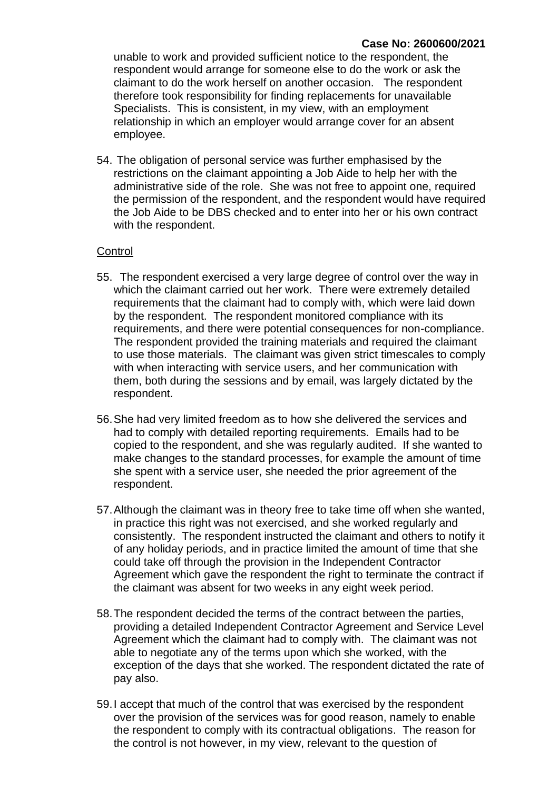### **Case No: 2600600/2021**

unable to work and provided sufficient notice to the respondent, the respondent would arrange for someone else to do the work or ask the claimant to do the work herself on another occasion. The respondent therefore took responsibility for finding replacements for unavailable Specialists. This is consistent, in my view, with an employment relationship in which an employer would arrange cover for an absent employee.

54. The obligation of personal service was further emphasised by the restrictions on the claimant appointing a Job Aide to help her with the administrative side of the role. She was not free to appoint one, required the permission of the respondent, and the respondent would have required the Job Aide to be DBS checked and to enter into her or his own contract with the respondent.

# **Control**

- 55. The respondent exercised a very large degree of control over the way in which the claimant carried out her work. There were extremely detailed requirements that the claimant had to comply with, which were laid down by the respondent. The respondent monitored compliance with its requirements, and there were potential consequences for non-compliance. The respondent provided the training materials and required the claimant to use those materials. The claimant was given strict timescales to comply with when interacting with service users, and her communication with them, both during the sessions and by email, was largely dictated by the respondent.
- 56.She had very limited freedom as to how she delivered the services and had to comply with detailed reporting requirements. Emails had to be copied to the respondent, and she was regularly audited. If she wanted to make changes to the standard processes, for example the amount of time she spent with a service user, she needed the prior agreement of the respondent.
- 57.Although the claimant was in theory free to take time off when she wanted, in practice this right was not exercised, and she worked regularly and consistently. The respondent instructed the claimant and others to notify it of any holiday periods, and in practice limited the amount of time that she could take off through the provision in the Independent Contractor Agreement which gave the respondent the right to terminate the contract if the claimant was absent for two weeks in any eight week period.
- 58.The respondent decided the terms of the contract between the parties, providing a detailed Independent Contractor Agreement and Service Level Agreement which the claimant had to comply with. The claimant was not able to negotiate any of the terms upon which she worked, with the exception of the days that she worked. The respondent dictated the rate of pay also.
- 59.I accept that much of the control that was exercised by the respondent over the provision of the services was for good reason, namely to enable the respondent to comply with its contractual obligations. The reason for the control is not however, in my view, relevant to the question of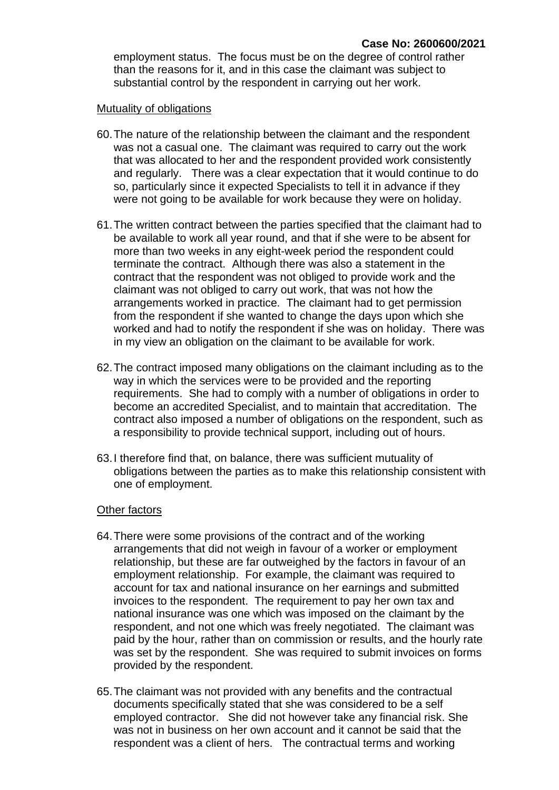employment status. The focus must be on the degree of control rather than the reasons for it, and in this case the claimant was subject to substantial control by the respondent in carrying out her work.

#### Mutuality of obligations

- 60.The nature of the relationship between the claimant and the respondent was not a casual one. The claimant was required to carry out the work that was allocated to her and the respondent provided work consistently and regularly. There was a clear expectation that it would continue to do so, particularly since it expected Specialists to tell it in advance if they were not going to be available for work because they were on holiday.
- 61.The written contract between the parties specified that the claimant had to be available to work all year round, and that if she were to be absent for more than two weeks in any eight-week period the respondent could terminate the contract. Although there was also a statement in the contract that the respondent was not obliged to provide work and the claimant was not obliged to carry out work, that was not how the arrangements worked in practice. The claimant had to get permission from the respondent if she wanted to change the days upon which she worked and had to notify the respondent if she was on holiday. There was in my view an obligation on the claimant to be available for work.
- 62.The contract imposed many obligations on the claimant including as to the way in which the services were to be provided and the reporting requirements. She had to comply with a number of obligations in order to become an accredited Specialist, and to maintain that accreditation. The contract also imposed a number of obligations on the respondent, such as a responsibility to provide technical support, including out of hours.
- 63.I therefore find that, on balance, there was sufficient mutuality of obligations between the parties as to make this relationship consistent with one of employment.

#### Other factors

- 64.There were some provisions of the contract and of the working arrangements that did not weigh in favour of a worker or employment relationship, but these are far outweighed by the factors in favour of an employment relationship. For example, the claimant was required to account for tax and national insurance on her earnings and submitted invoices to the respondent. The requirement to pay her own tax and national insurance was one which was imposed on the claimant by the respondent, and not one which was freely negotiated. The claimant was paid by the hour, rather than on commission or results, and the hourly rate was set by the respondent. She was required to submit invoices on forms provided by the respondent.
- 65.The claimant was not provided with any benefits and the contractual documents specifically stated that she was considered to be a self employed contractor. She did not however take any financial risk. She was not in business on her own account and it cannot be said that the respondent was a client of hers. The contractual terms and working